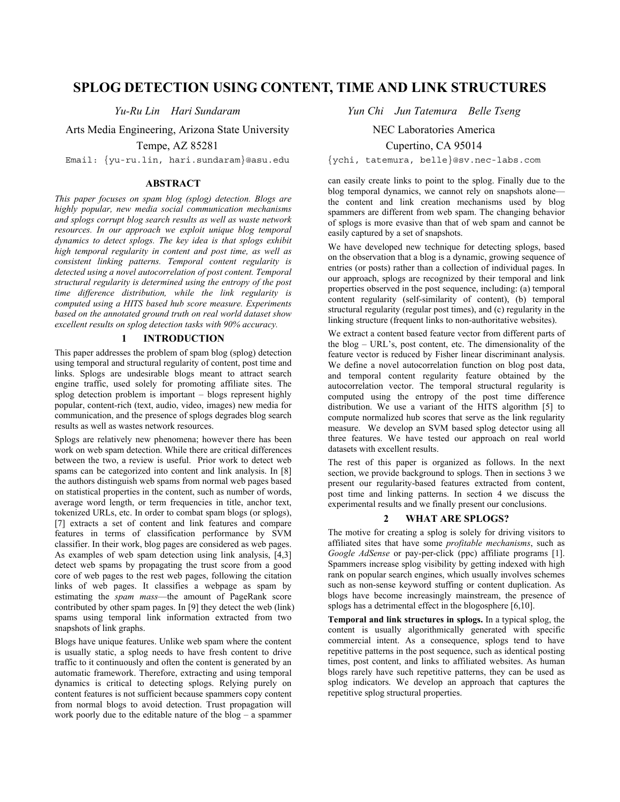# **SPLOG DETECTION USING CONTENT, TIME AND LINK STRUCTURES**

Arts Media Engineering, Arizona State University

Tempe, AZ 85281

Email: {yu-ru.lin, hari.sundaram}@asu.edu {ychi, tatemura, belle}@sv.nec-labs.com

### **ABSTRACT**

*This paper focuses on spam blog (splog) detection. Blogs are highly popular, new media social communication mechanisms and splogs corrupt blog search results as well as waste network resources. In our approach we exploit unique blog temporal dynamics to detect splogs. The key idea is that splogs exhibit high temporal regularity in content and post time, as well as consistent linking patterns. Temporal content regularity is detected using a novel autocorrelation of post content. Temporal structural regularity is determined using the entropy of the post time difference distribution, while the link regularity is computed using a HITS based hub score measure. Experiments based on the annotated ground truth on real world dataset show excellent results on splog detection tasks with 90% accuracy.* 

### **1 INTRODUCTION**

This paper addresses the problem of spam blog (splog) detection using temporal and structural regularity of content, post time and links. Splogs are undesirable blogs meant to attract search engine traffic, used solely for promoting affiliate sites. The splog detection problem is important – blogs represent highly popular, content-rich (text, audio, video, images) new media for communication, and the presence of splogs degrades blog search results as well as wastes network resources.

Splogs are relatively new phenomena; however there has been work on web spam detection. While there are critical differences between the two, a review is useful. Prior work to detect web spams can be categorized into content and link analysis. In [8] the authors distinguish web spams from normal web pages based on statistical properties in the content, such as number of words, average word length, or term frequencies in title, anchor text, tokenized URLs, etc. In order to combat spam blogs (or splogs), [7] extracts a set of content and link features and compare features in terms of classification performance by SVM classifier. In their work, blog pages are considered as web pages. As examples of web spam detection using link analysis, [4,3] detect web spams by propagating the trust score from a good core of web pages to the rest web pages, following the citation links of web pages. It classifies a webpage as spam by estimating the *spam mass*—the amount of PageRank score contributed by other spam pages. In [9] they detect the web (link) spams using temporal link information extracted from two snapshots of link graphs.

Blogs have unique features. Unlike web spam where the content is usually static, a splog needs to have fresh content to drive traffic to it continuously and often the content is generated by an automatic framework. Therefore, extracting and using temporal dynamics is critical to detecting splogs. Relying purely on content features is not sufficient because spammers copy content from normal blogs to avoid detection. Trust propagation will work poorly due to the editable nature of the blog – a spammer

*Yu-Ru Lin Hari Sundaram Yun Chi Jun Tatemura Belle Tseng* 

NEC Laboratories America

Cupertino, CA 95014

can easily create links to point to the splog. Finally due to the blog temporal dynamics, we cannot rely on snapshots alone the content and link creation mechanisms used by blog spammers are different from web spam. The changing behavior of splogs is more evasive than that of web spam and cannot be easily captured by a set of snapshots.

We have developed new technique for detecting splogs, based on the observation that a blog is a dynamic, growing sequence of entries (or posts) rather than a collection of individual pages. In our approach, splogs are recognized by their temporal and link properties observed in the post sequence, including: (a) temporal content regularity (self-similarity of content), (b) temporal structural regularity (regular post times), and (c) regularity in the linking structure (frequent links to non-authoritative websites).

We extract a content based feature vector from different parts of the blog – URL's, post content, etc. The dimensionality of the feature vector is reduced by Fisher linear discriminant analysis. We define a novel autocorrelation function on blog post data, and temporal content regularity feature obtained by the autocorrelation vector. The temporal structural regularity is computed using the entropy of the post time difference distribution. We use a variant of the HITS algorithm [5] to compute normalized hub scores that serve as the link regularity measure. We develop an SVM based splog detector using all three features. We have tested our approach on real world datasets with excellent results.

The rest of this paper is organized as follows. In the next section, we provide background to splogs. Then in sections 3 we present our regularity-based features extracted from content, post time and linking patterns. In section 4 we discuss the experimental results and we finally present our conclusions.

### **2 WHAT ARE SPLOGS?**

The motive for creating a splog is solely for driving visitors to affiliated sites that have some *profitable mechanisms*, such as *Google AdSense* or pay-per-click (ppc) affiliate programs [1]. Spammers increase splog visibility by getting indexed with high rank on popular search engines, which usually involves schemes such as non-sense keyword stuffing or content duplication. As blogs have become increasingly mainstream, the presence of splogs has a detrimental effect in the blogosphere [6,10].

**Temporal and link structures in splogs.** In a typical splog, the content is usually algorithmically generated with specific commercial intent. As a consequence, splogs tend to have repetitive patterns in the post sequence, such as identical posting times, post content, and links to affiliated websites. As human blogs rarely have such repetitive patterns, they can be used as splog indicators. We develop an approach that captures the repetitive splog structural properties.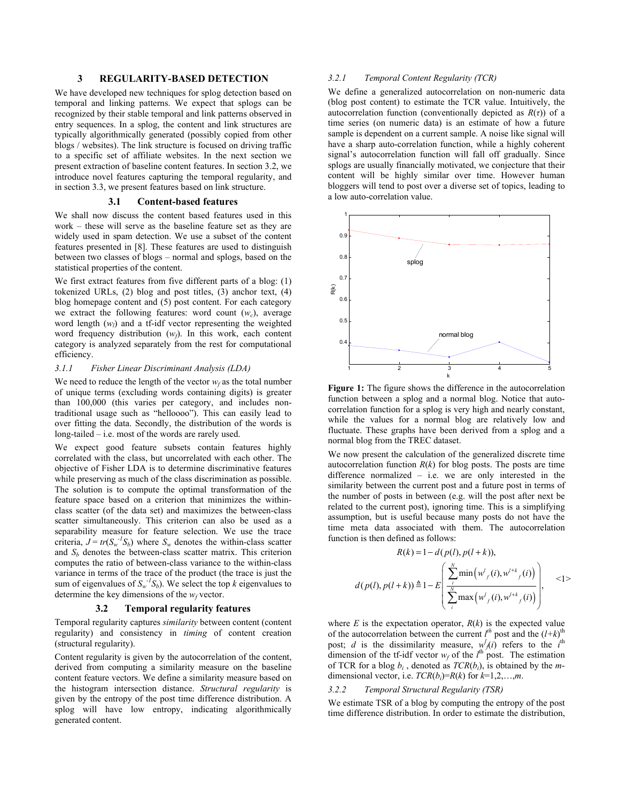## **3 REGULARITY-BASED DETECTION**

We have developed new techniques for splog detection based on temporal and linking patterns. We expect that splogs can be recognized by their stable temporal and link patterns observed in entry sequences. In a splog, the content and link structures are typically algorithmically generated (possibly copied from other blogs / websites). The link structure is focused on driving traffic to a specific set of affiliate websites. In the next section we present extraction of baseline content features. In section 3.2, we introduce novel features capturing the temporal regularity, and in section 3.3, we present features based on link structure.

#### **3.1 Content-based features**

We shall now discuss the content based features used in this work – these will serve as the baseline feature set as they are widely used in spam detection. We use a subset of the content features presented in [8]. These features are used to distinguish between two classes of blogs – normal and splogs, based on the statistical properties of the content.

We first extract features from five different parts of a blog: (1) tokenized URLs, (2) blog and post titles, (3) anchor text, (4) blog homepage content and (5) post content. For each category we extract the following features: word count  $(w<sub>c</sub>)$ , average word length (*w<sub>l</sub>*) and a tf-idf vector representing the weighted word frequency distribution  $(w_f)$ . In this work, each content category is analyzed separately from the rest for computational efficiency.

#### *3.1.1 Fisher Linear Discriminant Analysis (LDA)*

We need to reduce the length of the vector  $w_f$  as the total number of unique terms (excluding words containing digits) is greater than 100,000 (this varies per category, and includes nontraditional usage such as "helloooo"). This can easily lead to over fitting the data. Secondly, the distribution of the words is long-tailed – i.e. most of the words are rarely used.

We expect good feature subsets contain features highly correlated with the class, but uncorrelated with each other. The objective of Fisher LDA is to determine discriminative features while preserving as much of the class discrimination as possible. The solution is to compute the optimal transformation of the feature space based on a criterion that minimizes the withinclass scatter (of the data set) and maximizes the between-class scatter simultaneously. This criterion can also be used as a separability measure for feature selection. We use the trace criteria,  $J = tr(S_w^{-1}S_b)$  where  $S_w$  denotes the within-class scatter and  $S_b$  denotes the between-class scatter matrix. This criterion computes the ratio of between-class variance to the within-class variance in terms of the trace of the product (the trace is just the sum of eigenvalues of  $S_w^{-1}S_b$ ). We select the top *k* eigenvalues to determine the key dimensions of the  $w_f$  vector.

#### **3.2 Temporal regularity features**

Temporal regularity captures *similarity* between content (content regularity) and consistency in *timing* of content creation (structural regularity).

Content regularity is given by the autocorrelation of the content, derived from computing a similarity measure on the baseline content feature vectors. We define a similarity measure based on the histogram intersection distance. *Structural regularity* is given by the entropy of the post time difference distribution. A splog will have low entropy, indicating algorithmically generated content.

### *3.2.1 Temporal Content Regularity (TCR)*

We define a generalized autocorrelation on non-numeric data (blog post content) to estimate the TCR value. Intuitively, the autocorrelation function (conventionally depicted as  $R(\tau)$ ) of a time series (on numeric data) is an estimate of how a future sample is dependent on a current sample. A noise like signal will have a sharp auto-correlation function, while a highly coherent signal's autocorrelation function will fall off gradually. Since splogs are usually financially motivated, we conjecture that their content will be highly similar over time. However human bloggers will tend to post over a diverse set of topics, leading to a low auto-correlation value.



**Figure 1:** The figure shows the difference in the autocorrelation function between a splog and a normal blog. Notice that autocorrelation function for a splog is very high and nearly constant, while the values for a normal blog are relatively low and fluctuate. These graphs have been derived from a splog and a normal blog from the TREC dataset.

We now present the calculation of the generalized discrete time autocorrelation function  $R(k)$  for blog posts. The posts are time difference normalized – i.e. we are only interested in the similarity between the current post and a future post in terms of the number of posts in between (e.g. will the post after next be related to the current post), ignoring time. This is a simplifying assumption, but is useful because many posts do not have the time meta data associated with them. The autocorrelation function is then defined as follows:

$$
R(k) = 1 - d(p(l), p(l + k)),
$$
  
\n
$$
d(p(l), p(l + k)) \triangleq 1 - E\left(\frac{\sum_{i}^{N} \min(w_{f}^{l}(i), w^{l+k}_{f}(i))}{\sum_{i}^{N} \max(w_{f}^{l}(i), w^{l+k}_{f}(i))}\right), \quad \text{<1>
$$

where  $E$  is the expectation operator,  $R(k)$  is the expected value of the autocorrelation between the current  $l^{th}$  post and the  $(l+k)^{th}$ post; *d* is the dissimilarity measure,  $w_j^l(i)$  refers to the *i*<sup>th</sup> dimension of the tf-idf vector  $w_f$  of the  $l^{\text{th}}$  post. The estimation of TCR for a blog *bi* , denoted as *TCR*(*bi*), is obtained by the *m*dimensional vector, i.e.  $TCR(b_i)=R(k)$  for  $k=1,2,...,m$ .

#### *3.2.2 Temporal Structural Regularity (TSR)*

We estimate TSR of a blog by computing the entropy of the post time difference distribution. In order to estimate the distribution,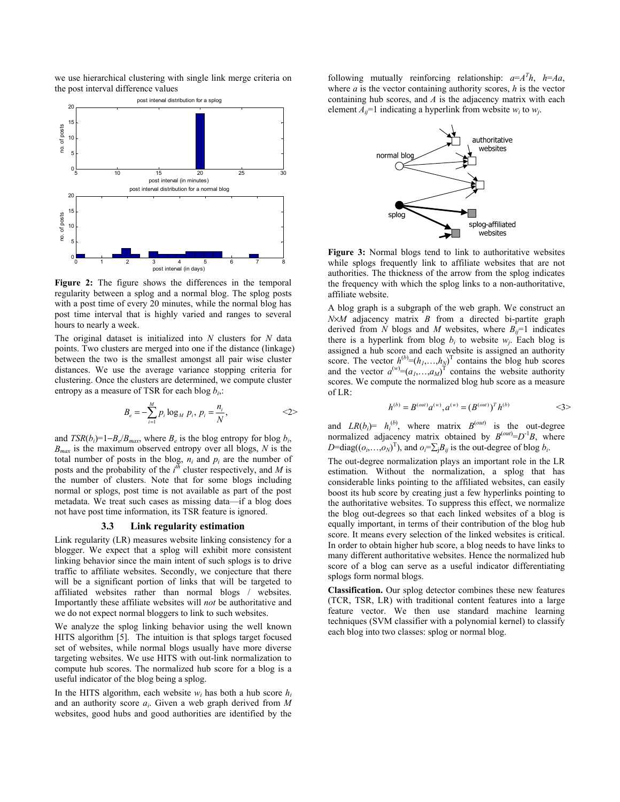we use hierarchical clustering with single link merge criteria on the post interval difference values



**Figure 2:** The figure shows the differences in the temporal regularity between a splog and a normal blog. The splog posts with a post time of every 20 minutes, while the normal blog has post time interval that is highly varied and ranges to several hours to nearly a week.

The original dataset is initialized into *N* clusters for *N* data points. Two clusters are merged into one if the distance (linkage) between the two is the smallest amongst all pair wise cluster distances. We use the average variance stopping criteria for clustering. Once the clusters are determined, we compute cluster entropy as a measure of TSR for each blog *bi*,:

$$
B_e = -\sum_{i=1}^{M} p_i \log_M p_i, p_i = \frac{n_i}{N},
$$
  $\langle 2 \rangle$ 

and  $TSR(b_i)=1-B_e/B_{max}$ , where  $B_e$  is the blog entropy for blog  $b_i$ , *Bmax* is the maximum observed entropy over all blogs, *N* is the total number of posts in the blog,  $n_i$  and  $p_i$  are the number of posts and the probability of the  $i^{th}$  cluster respectively, and *M* is the number of clusters. Note that for some blogs including normal or splogs, post time is not available as part of the post metadata. We treat such cases as missing data—if a blog does not have post time information, its TSR feature is ignored.

#### **3.3 Link regularity estimation**

Link regularity (LR) measures website linking consistency for a blogger. We expect that a splog will exhibit more consistent linking behavior since the main intent of such splogs is to drive traffic to affiliate websites. Secondly, we conjecture that there will be a significant portion of links that will be targeted to affiliated websites rather than normal blogs / websites. Importantly these affiliate websites will *not* be authoritative and we do not expect normal bloggers to link to such websites.

We analyze the splog linking behavior using the well known HITS algorithm [5]. The intuition is that splogs target focused set of websites, while normal blogs usually have more diverse targeting websites. We use HITS with out-link normalization to compute hub scores. The normalized hub score for a blog is a useful indicator of the blog being a splog.

In the HITS algorithm, each website  $w_i$  has both a hub score  $h_i$ and an authority score *ai*. Given a web graph derived from *M* websites, good hubs and good authorities are identified by the

following mutually reinforcing relationship:  $a = A^T h$ ,  $h = Aa$ , where *a* is the vector containing authority scores, *h* is the vector containing hub scores, and *A* is the adjacency matrix with each element  $A_{ii}$ =1 indicating a hyperlink from website  $w_i$  to  $w_j$ .



**Figure 3:** Normal blogs tend to link to authoritative websites while splogs frequently link to affiliate websites that are not authorities. The thickness of the arrow from the splog indicates the frequency with which the splog links to a non-authoritative, affiliate website.

A blog graph is a subgraph of the web graph. We construct an *N*×*M* adjacency matrix *B* from a directed bi-partite graph derived from *N* blogs and *M* websites, where  $B_{ij}=1$  indicates there is a hyperlink from blog  $b_i$  to website  $w_i$ . Each blog is assigned a hub score and each website is assigned an authority score. The vector  $h^{(b)} = (h_1, \ldots, h_N)^T$  contains the blog hub scores and the vector  $a^{(w)} = (a_1, \ldots, a_M)^T$  contains the website authority scores. We compute the normalized blog hub score as a measure of LR:

$$
h^{(b)} = B^{(out)} a^{(w)}, a^{(w)} = (B^{(out)})^T h^{(b)}
$$
  $\langle 3 \rangle$ 

and  $LR(b_i) = h_i^{(b)}$ , where matrix  $B^{(out)}$  is the out-degree normalized adjacency matrix obtained by  $B^{(out)} = D^{-1}B$ , where *D*=diag(( $(o_i, ..., o_N)$ <sup>T</sup>), and  $o_i = \sum_j B_{ij}$  is the out-degree of blog  $b_i$ .

The out-degree normalization plays an important role in the LR estimation. Without the normalization, a splog that has considerable links pointing to the affiliated websites, can easily boost its hub score by creating just a few hyperlinks pointing to the authoritative websites. To suppress this effect, we normalize the blog out-degrees so that each linked websites of a blog is equally important, in terms of their contribution of the blog hub score. It means every selection of the linked websites is critical. In order to obtain higher hub score, a blog needs to have links to many different authoritative websites. Hence the normalized hub score of a blog can serve as a useful indicator differentiating splogs form normal blogs.

**Classification.** Our splog detector combines these new features (TCR, TSR, LR) with traditional content features into a large feature vector. We then use standard machine learning techniques (SVM classifier with a polynomial kernel) to classify each blog into two classes: splog or normal blog.